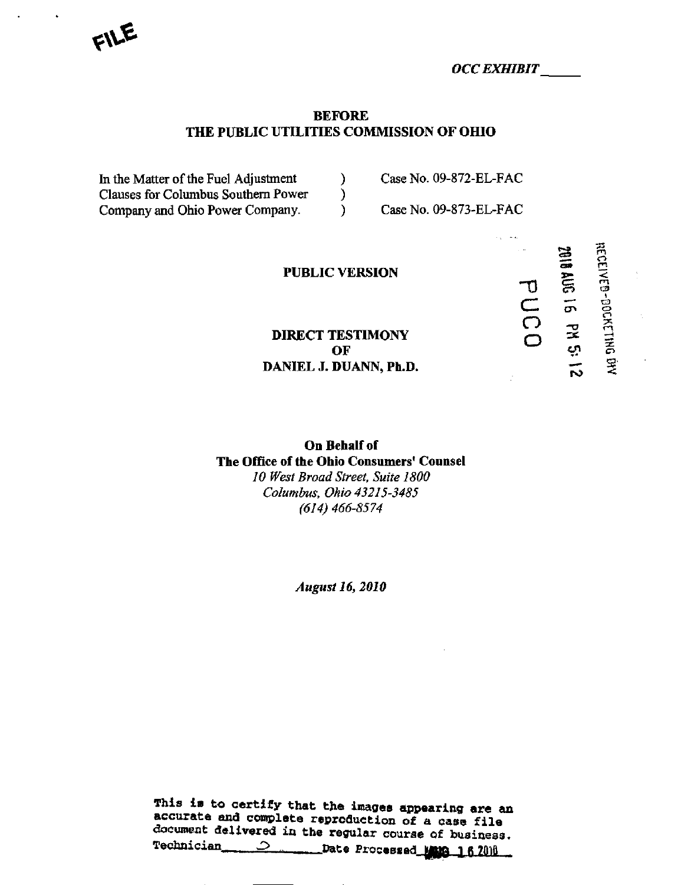$F$ 

OCC EXHIBIT

bUCO

 $=$   $\overline{r}$ 

on g

!

### BEFORE THE PUBLIC UTILITIES COMMISSION OF OHIO

In the Matter of the Fuel Adjustment (a) Case No. 09-872-EL-FAC Clauses for Columbus Southern Power ) Company and Ohio Power Company. (Case No. 09-873-EL-FAC

### PUBLIC VERSION

DIRECT TESTIMONY  $\mathbf{O}$ F  $\mathbf{O}$ ,  $\mathbf{O}$ DANIEL J. DUANN, Ph.D.

On Behalf of The Office of the Ohio Consumers' Counsel 10 West Broad Street, Suite 1800 Columbus, Ohio 43215-3485 (614) 466-8574

August 16, 2010

This is to certify that the images appearing are an accurate and complete reproduction of a case file document delivered in the regular course of business.<br>Technician  $\frac{1}{2}$  Date Processed MAMA 1.4 7016 \_\_\_\_Date Processed Mang 16 2010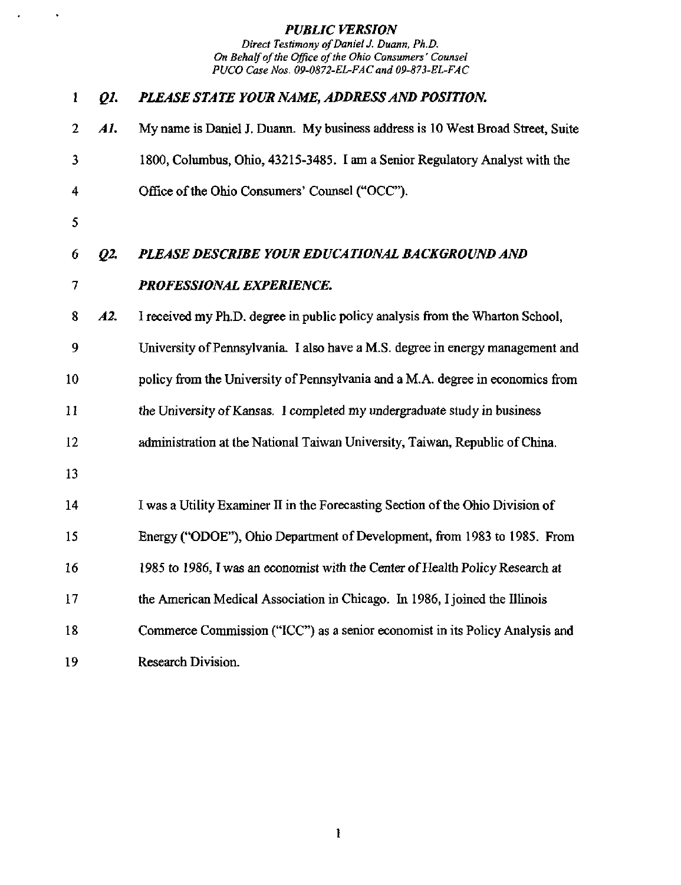$\langle \rangle$ 

 $\mathbf{r}$ 

| 1              | Q1. | PLEASE STATE YOUR NAME, ADDRESS AND POSITION.                                  |
|----------------|-----|--------------------------------------------------------------------------------|
| $\overline{2}$ | AI. | My name is Daniel J. Duann. My business address is 10 West Broad Street, Suite |
| 3              |     | 1800, Columbus, Ohio, 43215-3485. I am a Senior Regulatory Analyst with the    |
| 4              |     | Office of the Ohio Consumers' Counsel ("OCC").                                 |
| 5              |     |                                                                                |
| 6              | Q2. | PLEASE DESCRIBE YOUR EDUCATIONAL BACKGROUND AND                                |
| 7              |     | PROFESSIONAL EXPERIENCE.                                                       |
| 8              | A2. | I received my Ph.D. degree in public policy analysis from the Wharton School,  |
| 9              |     | University of Pennsylvania. I also have a M.S. degree in energy management and |
| 10             |     | policy from the University of Pennsylvania and a M.A. degree in economics from |
| 11             |     | the University of Kansas. I completed my undergraduate study in business       |
| 12             |     | administration at the National Taiwan University, Taiwan, Republic of China.   |
| 13             |     |                                                                                |
| 14             |     | I was a Utility Examiner II in the Forecasting Section of the Ohio Division of |
| 15             |     | Energy ("ODOE"), Ohio Department of Development, from 1983 to 1985. From       |
| 16             |     | 1985 to 1986, I was an economist with the Center of Health Policy Research at  |
| 17             |     | the American Medical Association in Chicago. In 1986, I joined the Illinois    |
| 18             |     | Commerce Commission ("ICC") as a senior economist in its Policy Analysis and   |
| 19             |     | Research Division.                                                             |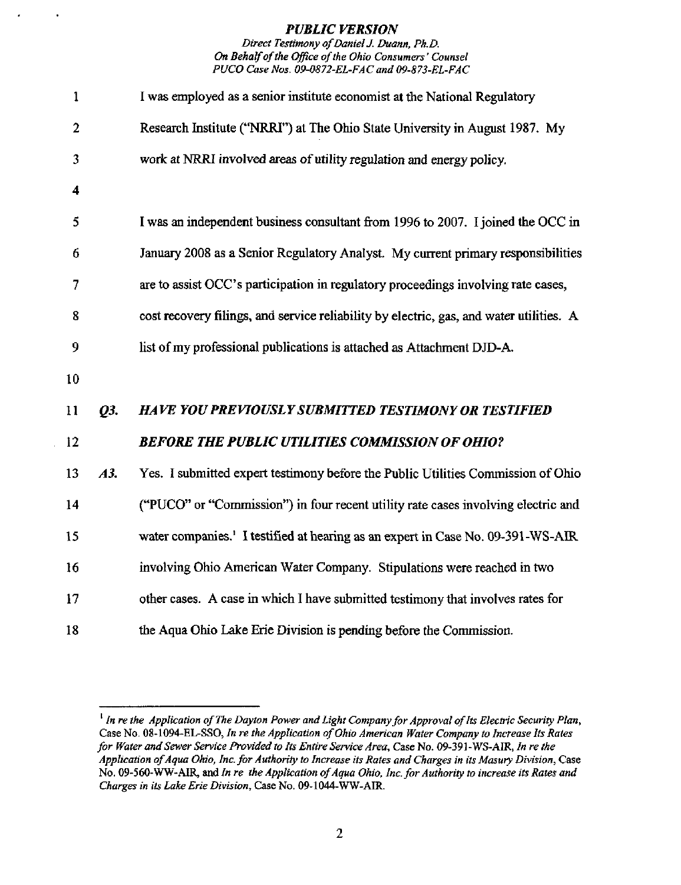### Direct Testimony of Daniel J. Duann, Ph.D. On Behalf of the Office of the Ohio Consumers' Counsel PUCO Case Nos. 09-0872-EL-FAC and 09-873-EL-FAC

| 1              |     | I was employed as a senior institute economist at the National Regulatory               |
|----------------|-----|-----------------------------------------------------------------------------------------|
| $\overline{2}$ |     | Research Institute ("NRRI") at The Ohio State University in August 1987. My             |
| 3              |     | work at NRRI involved areas of utility regulation and energy policy.                    |
| 4              |     |                                                                                         |
| 5              |     | I was an independent business consultant from 1996 to 2007. I joined the OCC in         |
| 6              |     | January 2008 as a Senior Regulatory Analyst. My current primary responsibilities        |
| 7              |     | are to assist OCC's participation in regulatory proceedings involving rate cases,       |
| 8              |     | cost recovery filings, and service reliability by electric, gas, and water utilities. A |
| 9              |     | list of my professional publications is attached as Attachment DJD-A.                   |
| 10             |     |                                                                                         |
| 11             | Q3. | <b>HAVE YOU PREVIOUSLY SUBMITTED TESTIMONY OR TESTIFIED</b>                             |
| 12             |     | <b>BEFORE THE PUBLIC UTILITIES COMMISSION OF OHIO?</b>                                  |
| 13             | A3. | Yes. I submitted expert testimony before the Public Utilities Commission of Ohio        |
| 14             |     | ("PUCO" or "Commission") in four recent utility rate cases involving electric and       |
| 15             |     | water companies.' I testified at hearing as an expert in Case No. 09-391-WS-AIR         |
| 16             |     | involving Ohio American Water Company. Stipulations were reached in two                 |
| 17             |     | other cases. A case in which I have submitted testimony that involves rates for         |
| 18             |     | the Aqua Ohio Lake Erie Division is pending before the Commission.                      |

<sup>&</sup>lt;sup>1</sup> In re the Application of The Dayton Power and Light Company for Approval of Its Electric Security Plan, Case No. 08-1094-EL-SSO, In re the Application of Ohio American Water Company to Increase Its Rates for Water and Sewer Service Provided to Its Entire Service Area, Case No, 09-391 -WS-AIR, In re the Application of Aqua Ohio, Inc. for Authority to Increase its Rates and Charges in its Masury Division, Case No. 09-560-WW-AIR, and In re the Application of Aqua Ohio, Inc. for Authority to increase its Rates and Charges in its lake Erie Division, Case No. 09-1044-WW-AIR.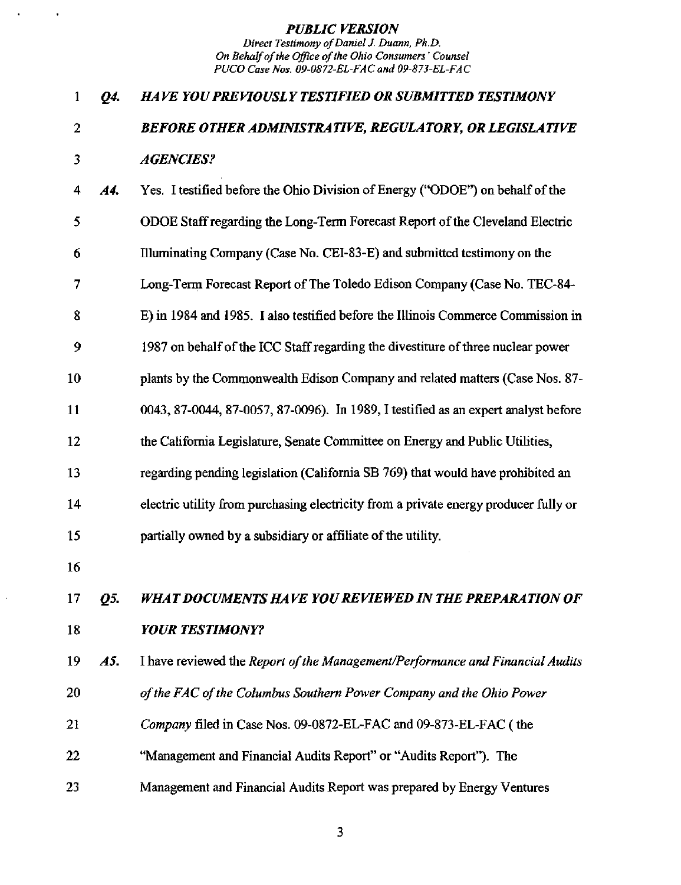# 1 Q4. HAVE YOU PREVIOUSLY TESTIFIED OR SUBMITTED TESTIMONY 2 BEFORE OTHER ADMINISTRATIVE, REGULATORY, OR LEGISLATIVE 3 AGENCIES?

| <b>A4.</b> | Yes. I testified before the Ohio Division of Energy ("ODOE") on behalf of the        |
|------------|--------------------------------------------------------------------------------------|
|            | ODOE Staff regarding the Long-Term Forecast Report of the Cleveland Electric         |
|            | Illuminating Company (Case No. CEI-83-E) and submitted testimony on the              |
|            | Long-Term Forecast Report of The Toledo Edison Company (Case No. TEC-84-             |
|            | E) in 1984 and 1985. I also testified before the Illinois Commerce Commission in     |
|            | 1987 on behalf of the ICC Staff regarding the divestiture of three nuclear power     |
|            | plants by the Commonwealth Edison Company and related matters (Case Nos. 87-         |
|            | 0043, 87-0044, 87-0057, 87-0096). In 1989, I testified as an expert analyst before   |
|            | the California Legislature, Senate Committee on Energy and Public Utilities,         |
|            | regarding pending legislation (California SB 769) that would have prohibited an      |
|            | electric utility from purchasing electricity from a private energy producer fully or |
|            | partially owned by a subsidiary or affiliate of the utility.                         |
|            |                                                                                      |

16

17 Q5. WHAT DOCUMENTS HAVE YOU REVIEWED IN THE PREPARATION OF 18 **YOUR TESTIMONY?** 

- 19 A5. I have reviewed the Report of the Management/Performance and Financial Audits
- 20 of the FAC of the Columbus Southern Power Company and the Ohio Power
- 21 Company filed in Case Nos. 09-0872-EL-FAC and 09-873-EL-FAC (the
- 22 "Management and Financial Audits Report" or "Audits Report"). The
- 23 Management and Financial Audits Report was prepared by Energy Ventures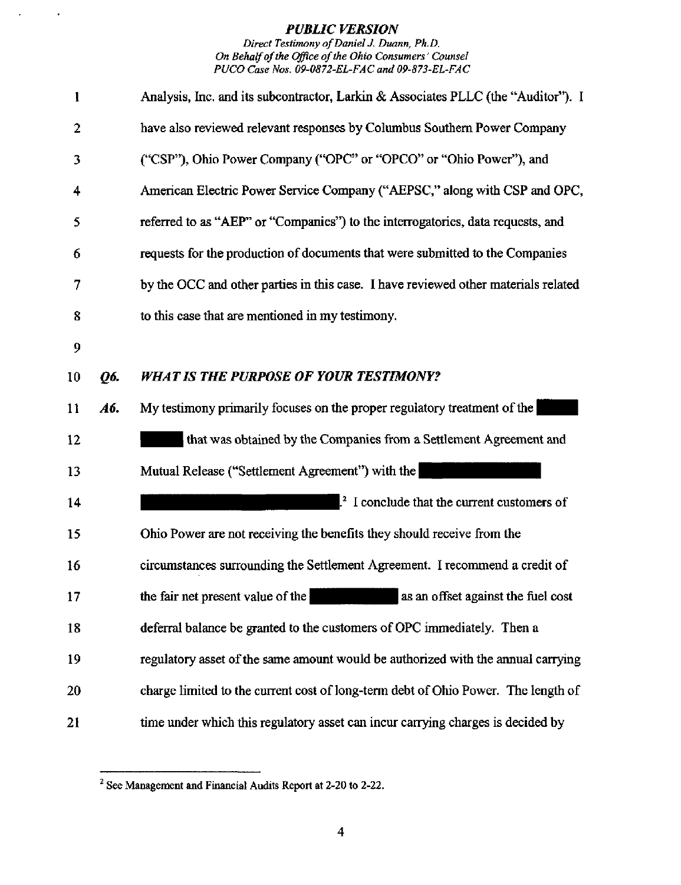$\sim$ 

 $\ddot{\phantom{1}}$ 

Direct Testimony of Daniel J. Duann, Ph.D. On Behalf of the Office of the Ohio Consumers' Counsel PUCO Case Nos, 09-0872-EL-FAC and 09-873-EL-FAC

| 1  |     | Analysis, Inc. and its subcontractor, Larkin & Associates PLLC (the "Auditor"). I  |
|----|-----|------------------------------------------------------------------------------------|
| 2  |     | have also reviewed relevant responses by Columbus Southern Power Company           |
| 3  |     | ("CSP"), Ohio Power Company ("OPC" or "OPCO" or "Ohio Power"), and                 |
| 4  |     | American Electric Power Service Company ("AEPSC," along with CSP and OPC,          |
| 5  |     | referred to as "AEP" or "Companies") to the interrogatories, data requests, and    |
| 6  |     | requests for the production of documents that were submitted to the Companies      |
| 7  |     | by the OCC and other parties in this case. I have reviewed other materials related |
| 8  |     | to this case that are mentioned in my testimony.                                   |
| 9  |     |                                                                                    |
| 10 | Q6. | <b>WHAT IS THE PURPOSE OF YOUR TESTIMONY?</b>                                      |
| 11 | A6. | My testimony primarily focuses on the proper regulatory treatment of the           |
| 12 |     | that was obtained by the Companies from a Settlement Agreement and                 |
| 13 |     | Mutual Release ("Settlement Agreement") with the                                   |
| 14 |     | <sup>2</sup> I conclude that the current customers of                              |
| 15 |     | Ohio Power are not receiving the benefits they should receive from the             |
| 16 |     | circumstances surrounding the Settlement Agreement. I recommend a credit of        |
| 17 |     | as an offset against the fuel cost<br>the fair net present value of the            |
| 18 |     | deferral balance be granted to the customers of OPC immediately. Then a            |
| 19 |     | regulatory asset of the same amount would be authorized with the annual carrying   |
| 20 |     | charge limited to the current cost of long-term debt of Ohio Power. The length of  |
| 21 |     | time under which this regulatory asset can incur carrying charges is decided by    |

 $2$  See Management and Financial Audits Report at 2-20 to 2-22.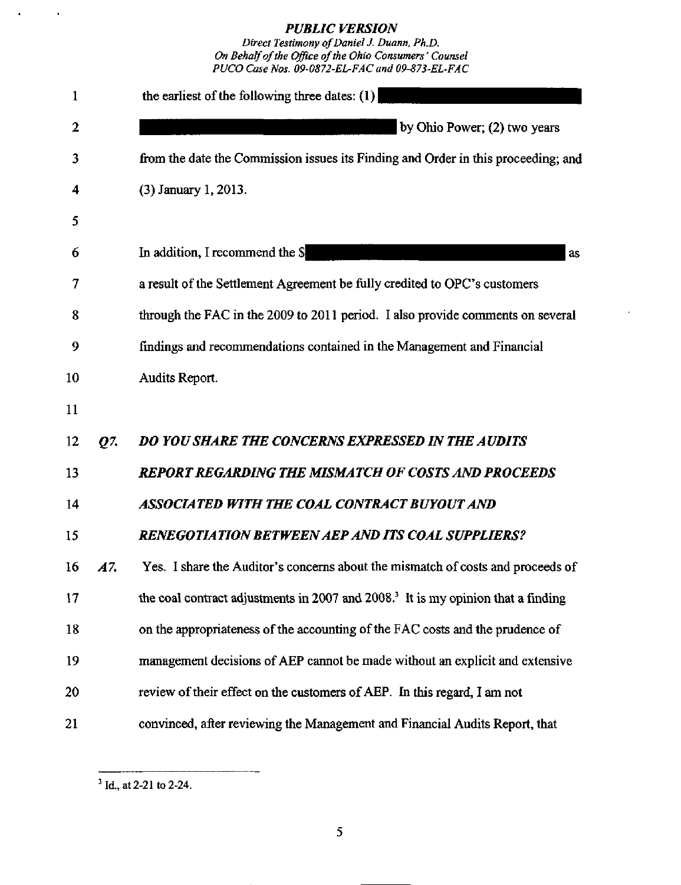Direct Testimony of Daniel J. Duann, Ph.D. On Behalf of the Office of the Ohio Consumers' Counsel PUCO Case Nos. 09-0872-EL-FAC and 09-873-EL'FAC

| 1                |     | the earliest of the following three dates: $(1)$                                             |
|------------------|-----|----------------------------------------------------------------------------------------------|
| $\boldsymbol{2}$ |     | by Ohio Power; (2) two years                                                                 |
| 3                |     | from the date the Commission issues its Finding and Order in this proceeding; and            |
| 4                |     | (3) January 1, 2013.                                                                         |
| 5                |     |                                                                                              |
| 6                |     | In addition, I recommend the \$<br><b>as</b>                                                 |
| 7                |     | a result of the Settlement Agreement be fully credited to OPC's customers                    |
| 8                |     | through the FAC in the 2009 to 2011 period. I also provide comments on several               |
| 9                |     | findings and recommendations contained in the Management and Financial                       |
| 10               |     | Audits Report.                                                                               |
| 11               |     |                                                                                              |
| 12               | Q7. | DO YOU SHARE THE CONCERNS EXPRESSED IN THE AUDITS                                            |
| 13               |     | <b>REPORT REGARDING THE MISMATCH OF COSTS AND PROCEEDS</b>                                   |
| 14               |     | ASSOCIATED WITH THE COAL CONTRACT BUYOUT AND                                                 |
| 15               |     | <b>RENEGOTIATION BETWEEN AEP AND ITS COAL SUPPLIERS?</b>                                     |
| 16               | A7. | Yes. I share the Auditor's concerns about the mismatch of costs and proceeds of              |
| 17               |     | the coal contract adjustments in 2007 and 2008. <sup>3</sup> It is my opinion that a finding |
| 18               |     | on the appropriateness of the accounting of the FAC costs and the prudence of                |
| 19               |     | management decisions of AEP cannot be made without an explicit and extensive                 |
| 20               |     | review of their effect on the customers of AEP. In this regard, I am not                     |
| 21               |     | convinced, after reviewing the Management and Financial Audits Report, that                  |

 $\bar{\phantom{a}}$ 

 $\ddot{\phantom{a}}$ 

 $3$  Id., at 2-21 to 2-24.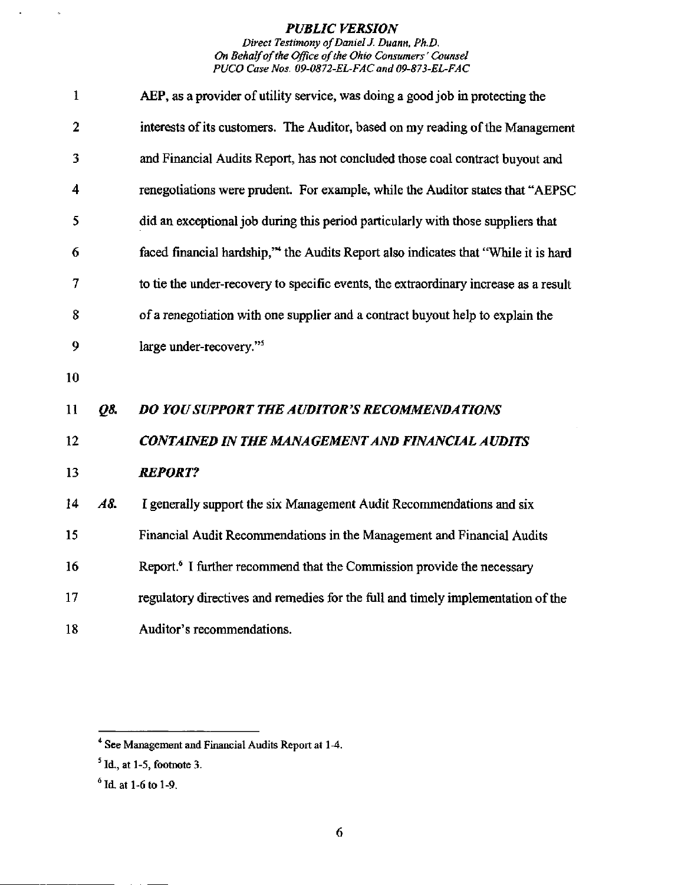#### Direct Testimony of Daniel J. Duann, Ph.D. On Behalf of the Office of the Ohio Consumers' Counsel PUCO Case Nos. 09-0872-EL-FAC and 09-873-EL-FAC

| $\mathbf{1}$      |            | AEP, as a provider of utility service, was doing a good job in protecting the        |
|-------------------|------------|--------------------------------------------------------------------------------------|
| $\overline{2}$    |            | interests of its customers. The Auditor, based on my reading of the Management       |
| 3                 |            | and Financial Audits Report, has not concluded those coal contract buyout and        |
| 4                 |            | renegotiations were prudent. For example, while the Auditor states that "AEPSC"      |
| 5                 |            | did an exceptional job during this period particularly with those suppliers that     |
| 6                 |            | faced financial hardship," the Audits Report also indicates that "While it is hard   |
| 7                 |            | to tie the under-recovery to specific events, the extraordinary increase as a result |
| 8                 |            | of a renegotiation with one supplier and a contract buyout help to explain the       |
| 9                 |            | large under-recovery." <sup>5</sup>                                                  |
| 10                |            |                                                                                      |
| 11                | <b>Q8.</b> | <b>DO YOU SUPPORT THE AUDITOR'S RECOMMENDATIONS</b>                                  |
| $12 \overline{ }$ |            | <b>CONTAINED IN THE MANAGEMENT AND FINANCIAL AUDITS</b>                              |
| 13                |            | <b>REPORT?</b>                                                                       |
| 14                | A8.        | I generally support the six Management Audit Recommendations and six                 |
| 15                |            | Financial Audit Recommendations in the Management and Financial Audits               |
| 16                |            | Report. <sup>6</sup> I further recommend that the Commission provide the necessary   |
| 17                |            | regulatory directives and remedies for the full and timely implementation of the     |
| 18                |            | Auditor's recommendations.                                                           |

 $\epsilon$ 

 $\ddot{\phantom{1}}$ 

<sup>\*\*</sup> See Management and Financial Audits Report at 1-4.

 $<sup>5</sup>$  Id., at 1-5, footnote 3.</sup>

 $^6$  Id. at 1-6 to 1-9.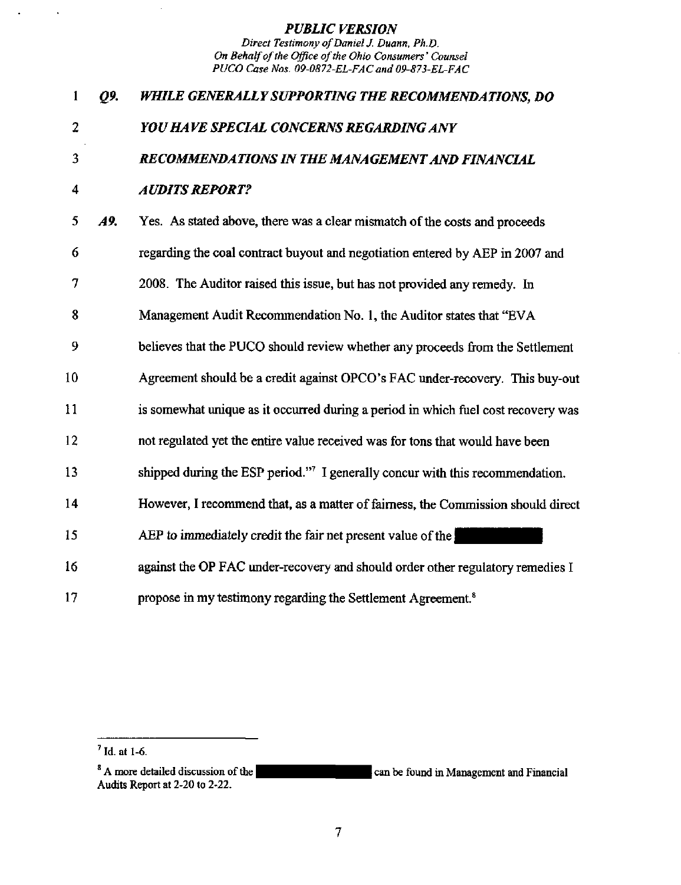| 1              | Q9. | WHILE GENERALLY SUPPORTING THE RECOMMENDATIONS, DO                                |
|----------------|-----|-----------------------------------------------------------------------------------|
| $\overline{2}$ |     | YOU HAVE SPECIAL CONCERNS REGARDING ANY                                           |
| 3              |     | RECOMMENDATIONS IN THE MANAGEMENT AND FINANCIAL                                   |
| 4              |     | <b>AUDITS REPORT?</b>                                                             |
| 5              | A9. | Yes. As stated above, there was a clear mismatch of the costs and proceeds        |
| 6              |     | regarding the coal contract buyout and negotiation entered by AEP in 2007 and     |
| 7              |     | 2008. The Auditor raised this issue, but has not provided any remedy. In          |
| 8              |     | Management Audit Recommendation No. 1, the Auditor states that "EVA               |
| 9              |     | believes that the PUCO should review whether any proceeds from the Settlement     |
| 10             |     | Agreement should be a credit against OPCO's FAC under-recovery. This buy-out      |
| 11             |     | is somewhat unique as it occurred during a period in which fuel cost recovery was |
| 12             |     | not regulated yet the entire value received was for tons that would have been     |
| 13             |     | shipped during the ESP period."7 I generally concur with this recommendation.     |
| 14             |     | However, I recommend that, as a matter of fairness, the Commission should direct  |
| 15             |     | AEP to immediately credit the fair net present value of the                       |
| 16             |     | against the OP FAC under-recovery and should order other regulatory remedies I    |
| 17             |     | propose in my testimony regarding the Settlement Agreement. <sup>8</sup>          |

 $\bar{z}$ 

 $\ddot{\phantom{0}}$ 

 $<sup>7</sup>$  Id. at 1-6.</sup>

<sup>&</sup>lt;sup>8</sup> A more detailed discussion of the Audits Report at 2-20 to 2-22. can be found in Management and Financial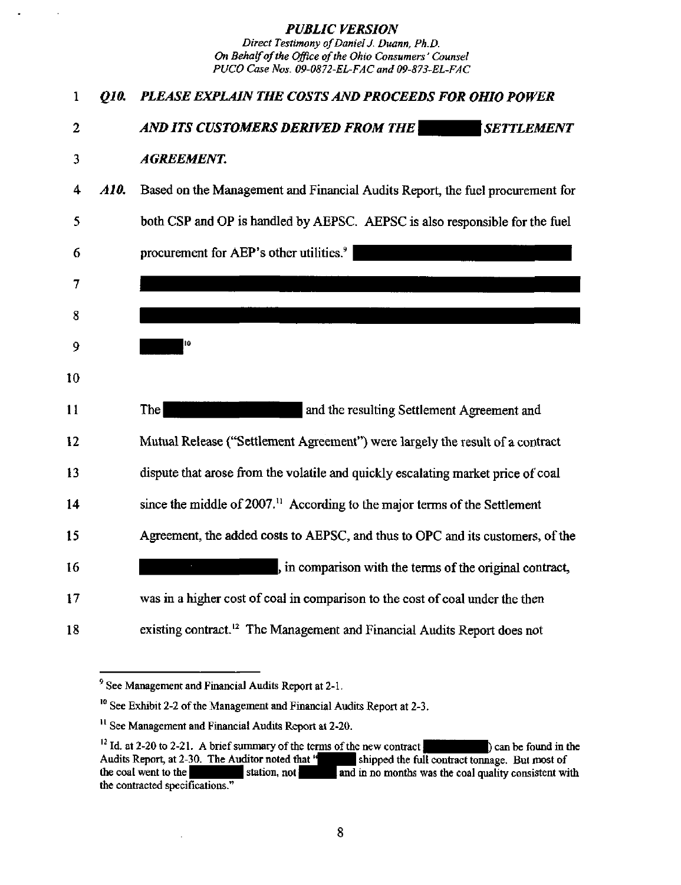| 1              | 010. | PLEASE EXPLAIN THE COSTS AND PROCEEDS FOR OHIO POWER                                   |
|----------------|------|----------------------------------------------------------------------------------------|
| $\overline{2}$ |      | AND ITS CUSTOMERS DERIVED FROM THE<br><b>SETTLEMENT</b>                                |
| 3              |      | <b>AGREEMENT.</b>                                                                      |
| 4              | A10. | Based on the Management and Financial Audits Report, the fuel procurement for          |
| 5              |      | both CSP and OP is handled by AEPSC. AEPSC is also responsible for the fuel            |
| 6              |      | procurement for AEP's other utilities. <sup>9</sup>                                    |
| 7              |      |                                                                                        |
| 8              |      |                                                                                        |
| 9              |      | 10                                                                                     |
| 10             |      |                                                                                        |
| 11             |      | The<br>and the resulting Settlement Agreement and                                      |
| 12             |      | Mutual Release ("Settlement Agreement") were largely the result of a contract          |
| 13             |      | dispute that arose from the volatile and quickly escalating market price of coal       |
| 14             |      | since the middle of 2007. <sup>11</sup> According to the major terms of the Settlement |
| 15             |      | Agreement, the added costs to AEPSC, and thus to OPC and its customers, of the         |
| 16             |      | , in comparison with the terms of the original contract,                               |
| 17             |      | was in a higher cost of coal in comparison to the cost of coal under the then          |
| 18             |      | existing contract. <sup>12</sup> The Management and Financial Audits Report does not   |

 $\bar{z}$ 

<sup>&</sup>lt;sup>9</sup> See Management and Financial Audits Report at 2-1.

<sup>&</sup>lt;sup>10</sup> See Exhibit 2-2 of the Management and Financial Audits Report at 2-3.

<sup>&</sup>lt;sup>11</sup> See Management and Financial Audits Report at 2-20.

<sup>&</sup>lt;sup>12</sup> Id. at 2-20 to 2-21. A brief summary of the terms of the new contract  $|$  and  $|$  can be found in the Audits Report, at 2-30. The Auditor noted that  $|$  shipped the full contract tonnage. But most of shipped the full contract tonnage. But most of the coal went to the station, not **and in no months was the coal quality consistent with** the contracted specifications."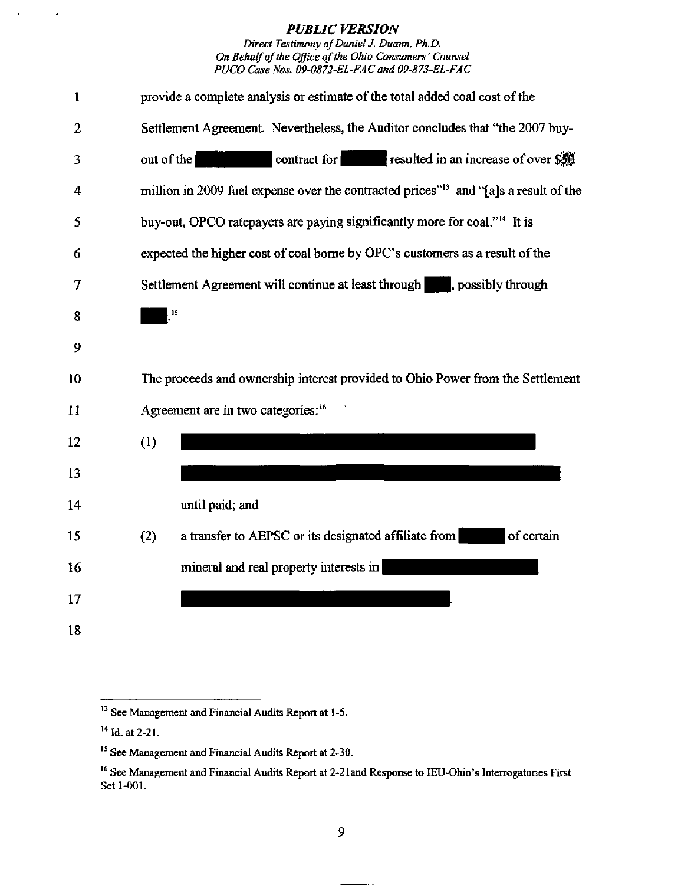| 1  | provide a complete analysis or estimate of the total added coal cost of the                      |
|----|--------------------------------------------------------------------------------------------------|
| 2  | Settlement Agreement. Nevertheless, the Auditor concludes that "the 2007 buy-                    |
| 3  | contract for resulted in an increase of over \$50<br>out of the                                  |
| 4  | million in 2009 fuel expense over the contracted prices" <sup>13</sup> and "[a]s a result of the |
| 5  | buy-out, OPCO ratepayers are paying significantly more for coal." <sup>14</sup> It is            |
| 6  | expected the higher cost of coal borne by OPC's customers as a result of the                     |
| 7  | Settlement Agreement will continue at least through spossibly through                            |
| 8  | 15                                                                                               |
| 9  |                                                                                                  |
| 10 | The proceeds and ownership interest provided to Ohio Power from the Settlement                   |
| 11 | Agreement are in two categories: <sup>16</sup>                                                   |
| 12 | (1)                                                                                              |
| 13 |                                                                                                  |
| 14 | until paid; and                                                                                  |
| 15 | a transfer to AEPSC or its designated affiliate from<br>of certain<br>(2)                        |
| 16 | mineral and real property interests in                                                           |
| 17 |                                                                                                  |
| 18 |                                                                                                  |

 $\ddot{\phantom{a}}$ 

 $\cdot$ 

 $^{13}$  See Management and Financial Audits Report at 1-5.

 $^{14}$  Id. at 2-21.

<sup>&</sup>lt;sup>15</sup> See Management and Financial Audits Report at 2-30.

<sup>&</sup>lt;sup>16</sup> See Management and Financial Audits Report at 2-21 and Response to IEU-Ohio's Interrogatories First Set 1-001.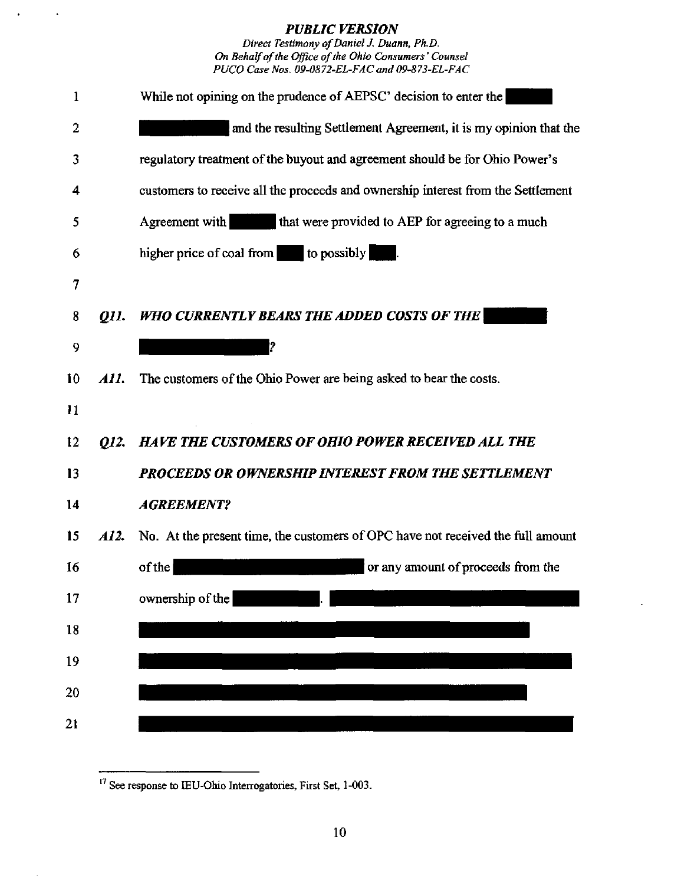Direct Testimony of Daniel J. Duann, Ph.D. On Behalf of the Office of the Ohio Consumers' Counsel PUCO Case Nos. 09-0872-EL-FAC and 09-873-EL-FAC



<sup>&</sup>lt;sup>17</sup> See response to IEU-Ohio Interrogatories, First Set, 1-003.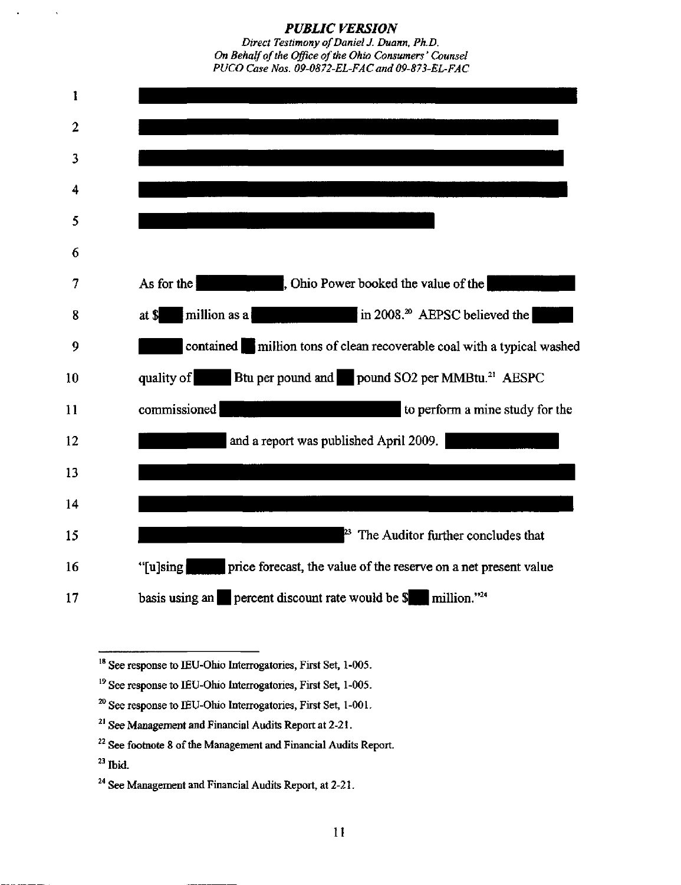



<sup>18</sup> See response to IEU-Ohio Interrogatories, First Set, 1-005.

- $20$  See response to IEU-Ohio Interrogatories, First Set, 1-001.
- $^{21}$  See Management and Financial Audits Report at 2-21.
- $^{22}$  See footnote 8 of the Management and Financial Audits Report.
- $^{\prime\prime}$  Ibid.

 $<sup>19</sup>$  See response to IEU-Ohio Interrogatories, First Set, 1-005.</sup>

 $^{24}$  See Management and Financial Audits Report, at 2-21.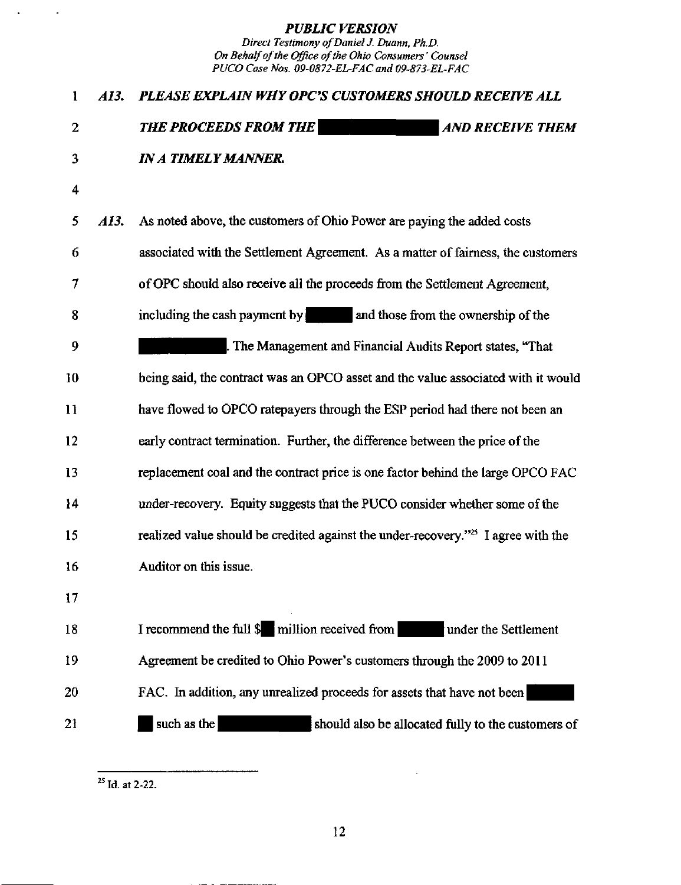| $\mathbf{1}$ | AI3. | PLEASE EXPLAIN WHY OPC'S CUSTOMERS SHOULD RECEIVE ALL                                         |
|--------------|------|-----------------------------------------------------------------------------------------------|
| 2            |      | <b>THE PROCEEDS FROM THE</b><br><b>AND RECEIVE THEM</b>                                       |
| 3            |      | <b>IN A TIMELY MANNER.</b>                                                                    |
| 4            |      |                                                                                               |
| 5            | A13. | As noted above, the customers of Ohio Power are paying the added costs                        |
| 6            |      | associated with the Settlement Agreement. As a matter of fairness, the customers              |
| 7            |      | of OPC should also receive all the proceeds from the Settlement Agreement,                    |
| 8            |      | including the cash payment by and those from the ownership of the                             |
| 9            |      | . The Management and Financial Audits Report states, "That                                    |
| 10           |      | being said, the contract was an OPCO asset and the value associated with it would             |
| 11           |      | have flowed to OPCO ratepayers through the ESP period had there not been an                   |
| 12           |      | early contract termination. Further, the difference between the price of the                  |
| 13           |      | replacement coal and the contract price is one factor behind the large OPCO FAC               |
| 14           |      | under-recovery. Equity suggests that the PUCO consider whether some of the                    |
| 15           |      | realized value should be credited against the under-recovery." <sup>25</sup> I agree with the |
| 16           |      | Auditor on this issue.                                                                        |
| 17           |      |                                                                                               |
| 18           |      | I recommend the full \$ million received from<br>under the Settlement                         |
| 19           |      | Agreement be credited to Ohio Power's customers through the 2009 to 2011                      |
| 20           |      | FAC. In addition, any unrealized proceeds for assets that have not been                       |
| 21           |      | such as the<br>should also be allocated fully to the customers of                             |

 $^{25}$  Id. at 2-22.

 $\mathcal{L}^{\pm}$ 

 $\mathcal{L}_{\mathcal{A}}$ 

12

 $\zeta$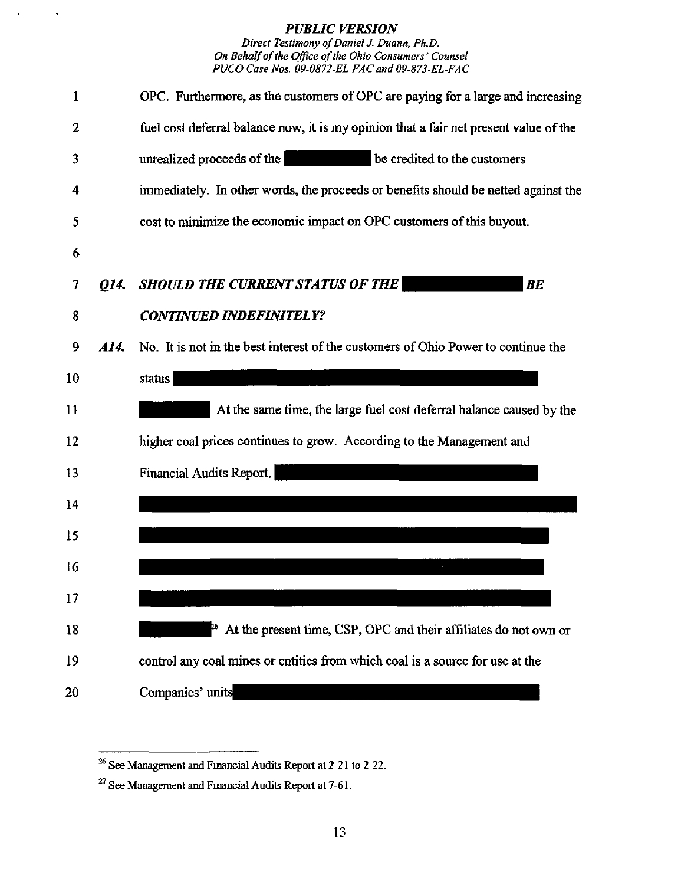Direct Testimony of Daniel J. Duann, Ph.D. On Behalf of the Office of the Ohio Consumers' Counsel PUCO Case Nos. 09-0872-EL-FAC and 09-873-EL-FAC



<sup>&</sup>lt;sup>26</sup> See Management and Financial Audits Report at 2-21 to 2-22.

<sup>&</sup>lt;sup>27</sup> See Management and Financial Audits Report at 7-61.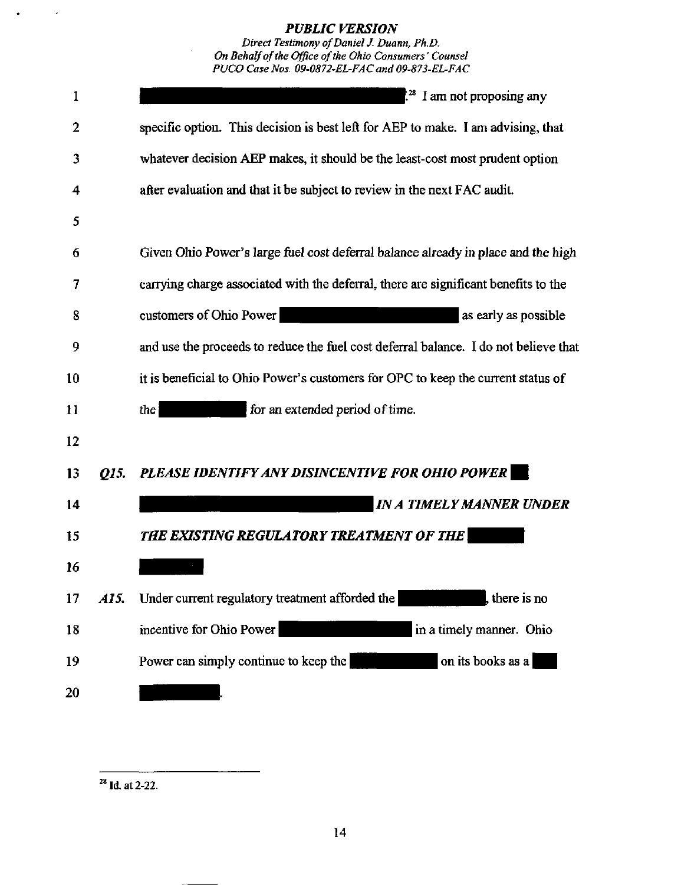Direct Testimony of Daniel J. Duann, Ph.D. On Behalf of the Office of the Ohio Consumers' Counsel PUCO Case Nos. 09-0872-EL-FAC and 09-873-EL-FAC

| 1  |      | <sup>28</sup> I am not proposing any                                                 |
|----|------|--------------------------------------------------------------------------------------|
| 2  |      | specific option. This decision is best left for AEP to make. I am advising, that     |
| 3  |      | whatever decision AEP makes, it should be the least-cost most prudent option         |
| 4  |      | after evaluation and that it be subject to review in the next FAC audit.             |
| 5  |      |                                                                                      |
| 6  |      | Given Ohio Power's large fuel cost deferral balance already in place and the high    |
| 7  |      | carrying charge associated with the deferral, there are significant benefits to the  |
| 8  |      | customers of Ohio Power<br>as early as possible                                      |
| 9  |      | and use the proceeds to reduce the fuel cost deferral balance. I do not believe that |
| 10 |      | it is beneficial to Ohio Power's customers for OPC to keep the current status of     |
| 11 |      | for an extended period of time.<br>the                                               |
| 12 |      |                                                                                      |
| 13 | 015. | PLEASE IDENTIFY ANY DISINCENTIVE FOR OHIO POWER                                      |
| 14 |      | <b>IN A TIMELY MANNER UNDER</b>                                                      |
| 15 |      | <b>THE EXISTING REGULATORY TREATMENT OF THE</b>                                      |
| 16 |      |                                                                                      |
| 17 | A15. | Under current regulatory treatment afforded the<br>, there is no                     |
| 18 |      | incentive for Ohio Power<br>in a timely manner. Ohio                                 |
| 19 |      | Power can simply continue to keep the<br>on its books as a                           |
| 20 |      |                                                                                      |

 $^{28}$  Id, at 2-22.

 $\mathcal{A}$ 

 $\bullet$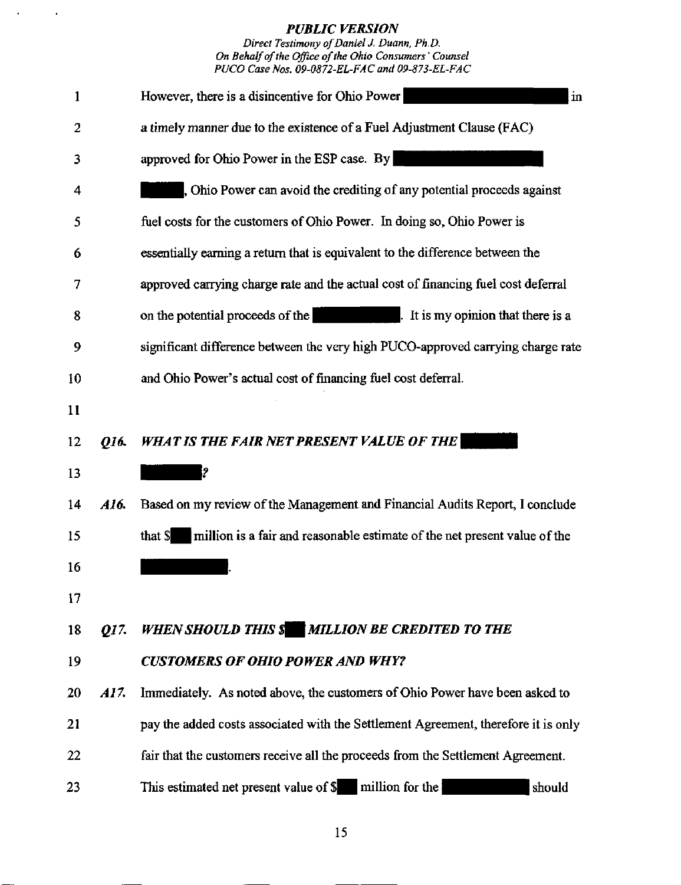Direct Testimony of Daniel J. Duann. Ph.D. On Behalf of the Office of the Ohio Consumers' Counsel PUCO Case Nos. 09-0872-EL-FAC and 09-873-EL-FAC

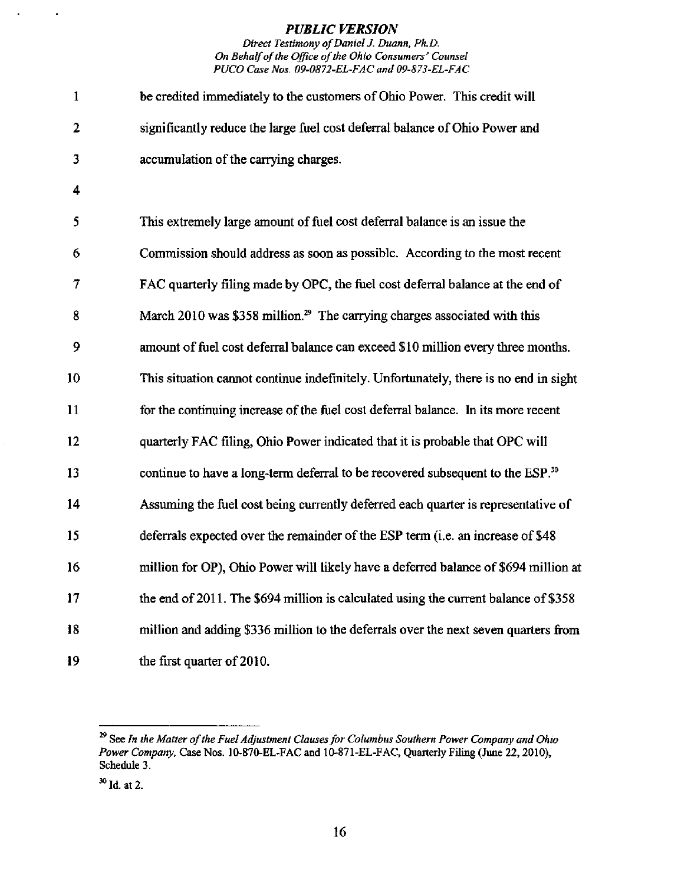### Direct Testimony of Daniel J. Duann, Ph.D. On Behalf of the Office of the Ohio Consumers' Counsel PUCO Case Nos. 09-0872-EL-FAC and 09-873-EL-FAC

| $\mathbf{1}$     | be credited immediately to the customers of Ohio Power. This credit will                   |
|------------------|--------------------------------------------------------------------------------------------|
| $\boldsymbol{2}$ | significantly reduce the large fuel cost deferral balance of Ohio Power and                |
| 3                | accumulation of the carrying charges.                                                      |
| 4                |                                                                                            |
| 5                | This extremely large amount of fuel cost deferral balance is an issue the                  |
| 6                | Commission should address as soon as possible. According to the most recent                |
| 7                | FAC quarterly filing made by OPC, the fuel cost deferral balance at the end of             |
| 8                | March 2010 was \$358 million. <sup>29</sup> The carrying charges associated with this      |
| 9                | amount of fuel cost deferral balance can exceed \$10 million every three months.           |
| 10               | This situation cannot continue indefinitely. Unfortunately, there is no end in sight       |
| 11               | for the continuing increase of the fuel cost deferral balance. In its more recent          |
| 12               | quarterly FAC filing, Ohio Power indicated that it is probable that OPC will               |
| 13               | continue to have a long-term deferral to be recovered subsequent to the ESP. <sup>30</sup> |
| 14               | Assuming the fuel cost being currently deferred each quarter is representative of          |
| 15               | deferrals expected over the remainder of the ESP term (i.e. an increase of \$48            |
| 16               | million for OP), Ohio Power will likely have a deferred balance of \$694 million at        |
| 17               | the end of 2011. The \$694 million is calculated using the current balance of \$358        |
| 18               | million and adding \$336 million to the deferrals over the next seven quarters from        |
| 19               | the first quarter of 2010.                                                                 |

 $\ddot{\phantom{a}}$ 

 $\blacksquare$ 

See In the Matter of the Fuel Adjustment Clauses for Columbus Southern Power Company and Ohio Power Company, Case Nos. 10-870-EL-FAC and 10-871-EL-FAC, Quarterly Filing (June 22, 2010), Schedule 3.

 $^{30}$  Id. at 2.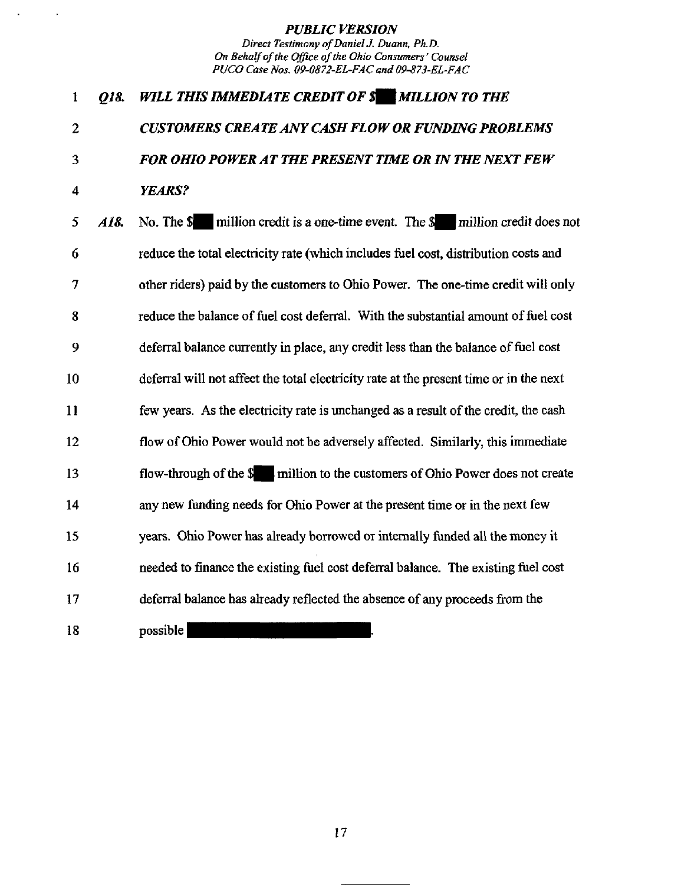$\mathcal{L}$ 

 $\sim$ 

| 1  | Q18. | WILL THIS IMMEDIATE CREDIT OF \$ MILLION TO THE                                        |
|----|------|----------------------------------------------------------------------------------------|
| 2  |      | <b>CUSTOMERS CREATE ANY CASH FLOW OR FUNDING PROBLEMS</b>                              |
| 3  |      | FOR OHIO POWER AT THE PRESENT TIME OR IN THE NEXT FEW                                  |
| 4  |      | YEARS?                                                                                 |
| 5  | A18. | No. The $\$\$ million credit is a one-time event. The $\$\$ million credit does not    |
| 6  |      | reduce the total electricity rate (which includes fuel cost, distribution costs and    |
| 7  |      | other riders) paid by the customers to Ohio Power. The one-time credit will only       |
| 8  |      | reduce the balance of fuel cost deferral. With the substantial amount of fuel cost     |
| 9  |      | deferral balance currently in place, any credit less than the balance of fuel cost     |
| 10 |      | deferral will not affect the total electricity rate at the present time or in the next |
| 11 |      | few years. As the electricity rate is unchanged as a result of the credit, the cash    |
| 12 |      | flow of Ohio Power would not be adversely affected. Similarly, this immediate          |
| 13 |      | flow-through of the \$ million to the customers of Ohio Power does not create          |
| 14 |      | any new funding needs for Ohio Power at the present time or in the next few            |
| 15 |      | years. Ohio Power has already borrowed or internally funded all the money it           |
| 16 |      | needed to finance the existing fuel cost deferral balance. The existing fuel cost      |
| 17 |      | deferral balance has already reflected the absence of any proceeds from the            |
| 18 |      | possible                                                                               |

17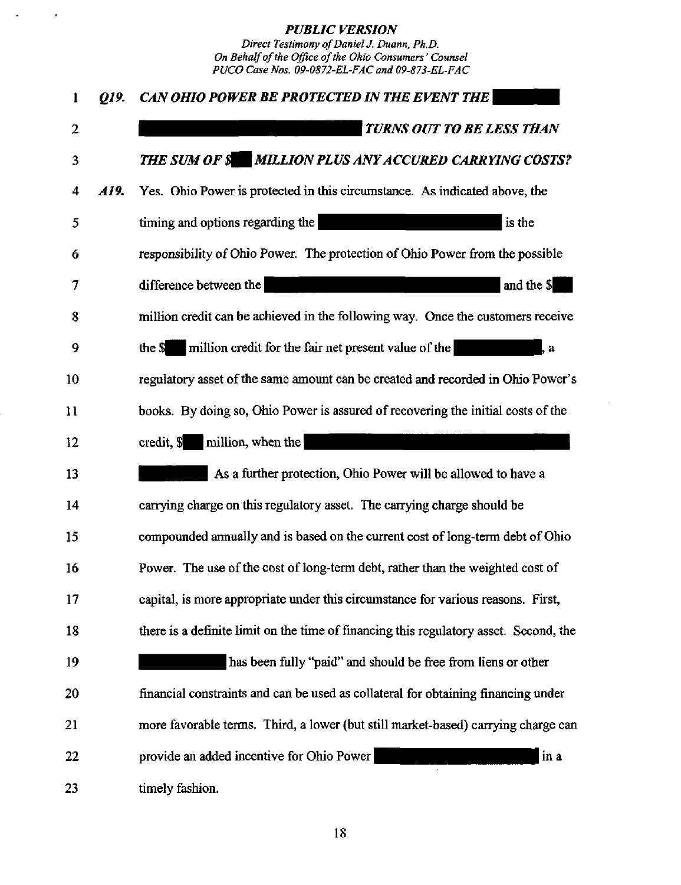$\mathcal{A}$ 

 $\Delta$ 

| $\mathbf{1}$ | 019. | CAN OHIO POWER BE PROTECTED IN THE EVENT THE                                          |
|--------------|------|---------------------------------------------------------------------------------------|
| 2            |      | TURNS OUT TO BE LESS THAN                                                             |
| 3            |      | <b>THE SUM OF \$ MILLION PLUS ANY ACCURED CARRYING COSTS?</b>                         |
| 4            | A19. | Yes. Ohio Power is protected in this circumstance. As indicated above, the            |
| 5            |      | is the<br>timing and options regarding the                                            |
| 6            |      | responsibility of Ohio Power. The protection of Ohio Power from the possible          |
| 7            |      | and the \$<br>difference between the                                                  |
| 8            |      | million credit can be achieved in the following way. Once the customers receive       |
| 9            |      | million credit for the fair net present value of the<br>the \$<br>, a                 |
| 10           |      | regulatory asset of the same amount can be created and recorded in Ohio Power's       |
| $\mathbf{1}$ |      | books. By doing so, Ohio Power is assured of recovering the initial costs of the      |
| 12           |      | $\alpha$ credit, $\$\$ million, when the                                              |
| 13           |      | As a further protection, Ohio Power will be allowed to have a                         |
| 14           |      | carrying charge on this regulatory asset. The carrying charge should be               |
| 15           |      | compounded annually and is based on the current cost of long-term debt of Ohio        |
| 16           |      | Power. The use of the cost of long-term debt, rather than the weighted cost of        |
| 17           |      | capital, is more appropriate under this circumstance for various reasons. First,      |
| 18           |      | there is a definite limit on the time of financing this regulatory asset. Second, the |
| 19           |      | has been fully "paid" and should be free from liens or other                          |
| 20           |      | financial constraints and can be used as collateral for obtaining financing under     |
| 21           |      | more favorable terms. Third, a lower (but still market-based) carrying charge can     |
| 22           |      | in a<br>provide an added incentive for Ohio Power                                     |
| 23           |      | timely fashion.                                                                       |

 $\sim$ 

18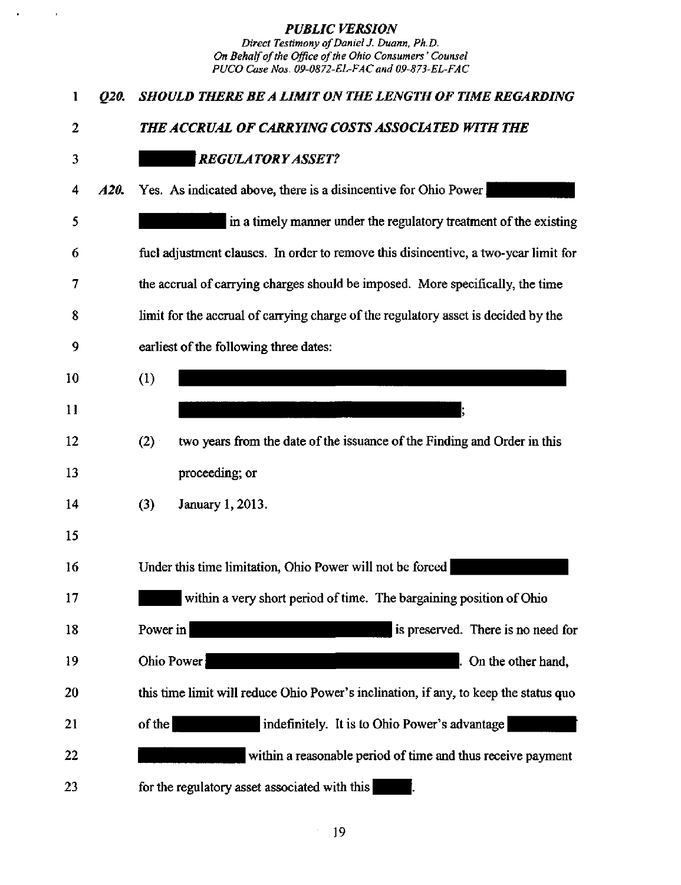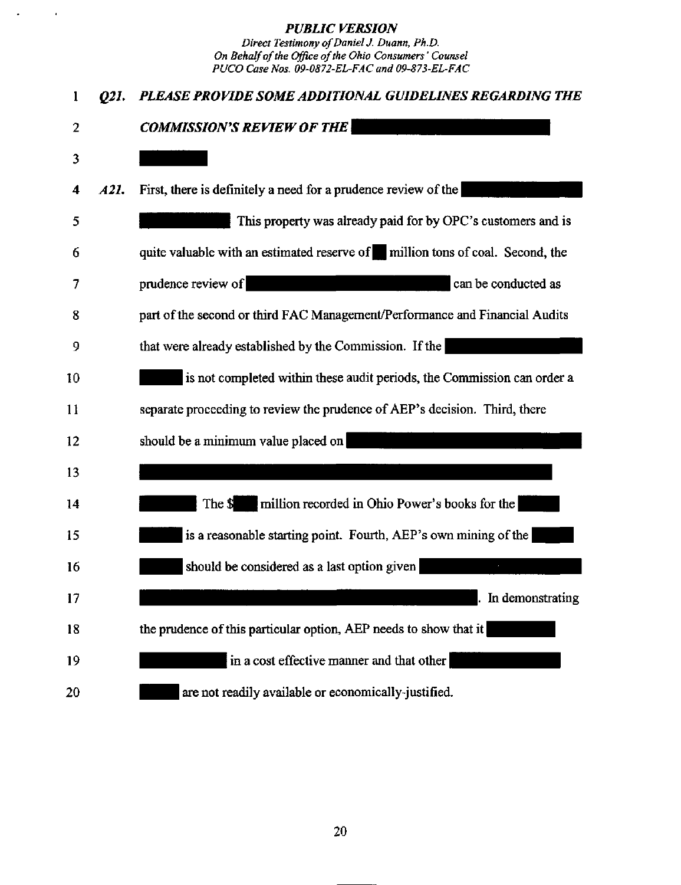$\mathbb{Z}^2$ 

 $\mathcal{A}$ 

| 1  | 021. | PLEASE PROVIDE SOME ADDITIONAL GUIDELINES REGARDING THE                       |
|----|------|-------------------------------------------------------------------------------|
| 2  |      | <b>COMMISSION'S REVIEW OF THE</b>                                             |
| 3  |      |                                                                               |
| 4  | A21. | First, there is definitely a need for a prudence review of the                |
| 5  |      | This property was already paid for by OPC's customers and is                  |
| 6  |      | quite valuable with an estimated reserve of million tons of coal. Second, the |
| 7  |      | prudence review of<br>can be conducted as                                     |
| 8  |      | part of the second or third FAC Management/Performance and Financial Audits   |
| 9  |      | that were already established by the Commission. If the                       |
| 10 |      | is not completed within these audit periods, the Commission can order a       |
| 11 |      | separate proceeding to review the prudence of AEP's decision. Third, there    |
| 12 |      | should be a minimum value placed on                                           |
| 13 |      |                                                                               |
| 14 |      | million recorded in Ohio Power's books for the<br>The \$                      |
| 15 |      | is a reasonable starting point. Fourth, AEP's own mining of the               |
| 16 |      | should be considered as a last option given                                   |
| 17 |      | In demonstrating                                                              |
| 18 |      | the prudence of this particular option, AEP needs to show that it             |
| 19 |      | in a cost effective manner and that other                                     |
| 20 |      | are not readily available or economically-justified.                          |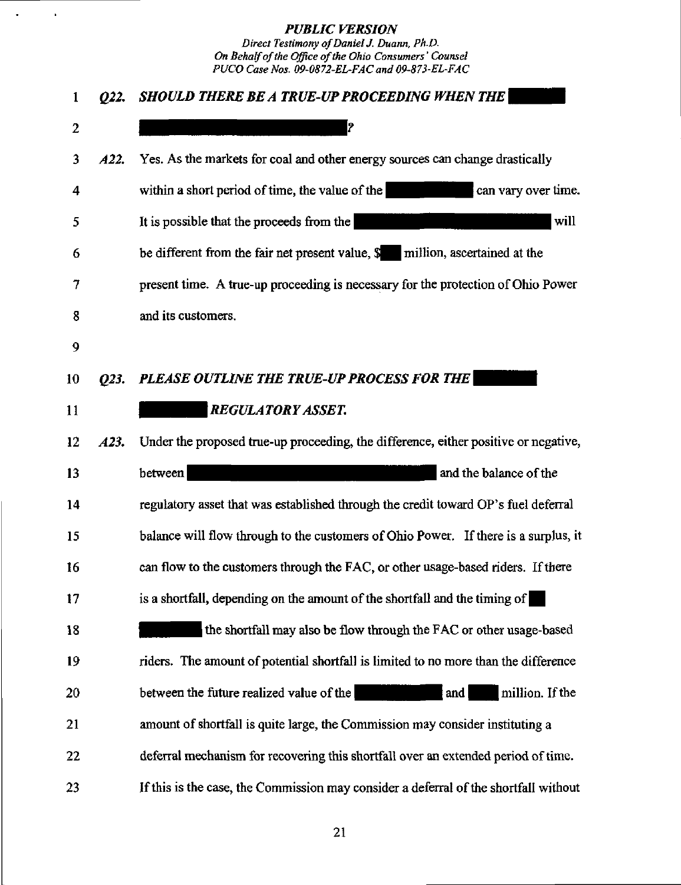$\mathbb{Z}^2$ 

 $\ddot{\phantom{0}}$ 

| $\mathbf{1}$ | 022. | SHOULD THERE BE A TRUE-UP PROCEEDING WHEN THE                                           |
|--------------|------|-----------------------------------------------------------------------------------------|
| 2            |      | P.                                                                                      |
| 3            | A22. | Yes. As the markets for coal and other energy sources can change drastically            |
| 4            |      | within a short period of time, the value of the<br>can vary over time.                  |
| 5            |      | will<br>It is possible that the proceeds from the                                       |
| 6            |      | be different from the fair net present value, $\frac{1}{2}$ million, ascertained at the |
| 7            |      | present time. A true-up proceeding is necessary for the protection of Ohio Power        |
| 8            |      | and its customers.                                                                      |
| 9            |      |                                                                                         |
| 10           | 023. | PLEASE OUTLINE THE TRUE-UP PROCESS FOR THE                                              |
| 11           |      | <b>REGULATORY ASSET.</b>                                                                |
| 12           | A23. | Under the proposed true-up proceeding, the difference, either positive or negative,     |
| 13           |      | between<br>and the balance of the                                                       |
| 14           |      | regulatory asset that was established through the credit toward OP's fuel deferral      |
| 15           |      | balance will flow through to the customers of Ohio Power. If there is a surplus, it     |
| 16           |      | can flow to the customers through the FAC, or other usage-based riders. If there        |
| 17           |      | is a shortfall, depending on the amount of the shortfall and the timing of              |
| 18           |      | the shortfall may also be flow through the FAC or other usage-based                     |
| 19           |      | riders. The amount of potential shortfall is limited to no more than the difference     |
| 20           |      | between the future realized value of the<br>million. If the<br>and                      |
| 21           |      | amount of shortfall is quite large, the Commission may consider instituting a           |
| 22           |      | deferral mechanism for recovering this shortfall over an extended period of time.       |
| 23           |      | If this is the case, the Commission may consider a deferral of the shortfall without    |

21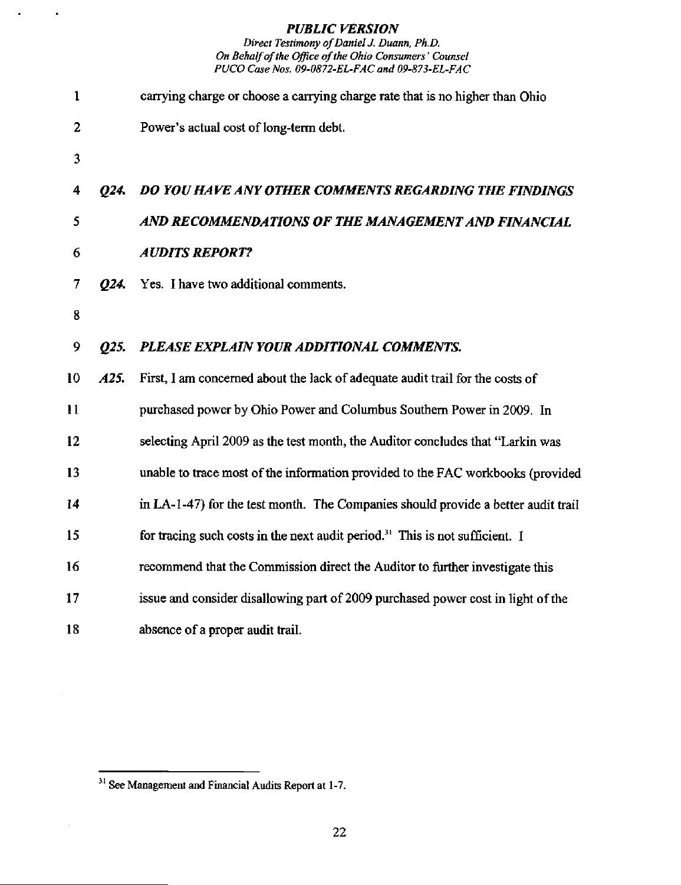$\bullet$ 

 $\bullet$ 

Direct Testimony of Daniel J. Duann, Ph.D. On Behalf of the Office of the Ohio Consumers' Counsel PUCO Case Nos. 09-0872-EL-FAC and 09-873-EL-FAC

| $\mathbf{1}$ |      | carrying charge or choose a carrying charge rate that is no higher than Ohio             |
|--------------|------|------------------------------------------------------------------------------------------|
| 2            |      | Power's actual cost of long-term debt.                                                   |
| 3            |      |                                                                                          |
| 4            | O24. | DO YOU HAVE ANY OTHER COMMENTS REGARDING THE FINDINGS                                    |
| 5            |      | AND RECOMMENDATIONS OF THE MANAGEMENT AND FINANCIAL                                      |
| 6            |      | <b>AUDITS REPORT?</b>                                                                    |
| 7            | 024. | Yes. I have two additional comments.                                                     |
| 8            |      |                                                                                          |
| 9            | O25. | PLEASE EXPLAIN YOUR ADDITIONAL COMMENTS.                                                 |
| 10           | A25. | First, I am concerned about the lack of adequate audit trail for the costs of            |
| 11           |      | purchased power by Ohio Power and Columbus Southern Power in 2009. In                    |
| 12           |      | selecting April 2009 as the test month, the Auditor concludes that "Larkin was           |
| 13           |      | unable to trace most of the information provided to the FAC workbooks (provided          |
| 14           |      | in LA-1-47) for the test month. The Companies should provide a better audit trail        |
| 15           |      | for tracing such costs in the next audit period. <sup>31</sup> This is not sufficient. I |
| 16           |      | recommend that the Commission direct the Auditor to further investigate this             |
| 17           |      | issue and consider disallowing part of 2009 purchased power cost in light of the         |
| 18           |      | absence of a proper audit trail.                                                         |

 $\boldsymbol{\gamma}$ 

 $31$  See Management and Financial Audits Report at 1-7.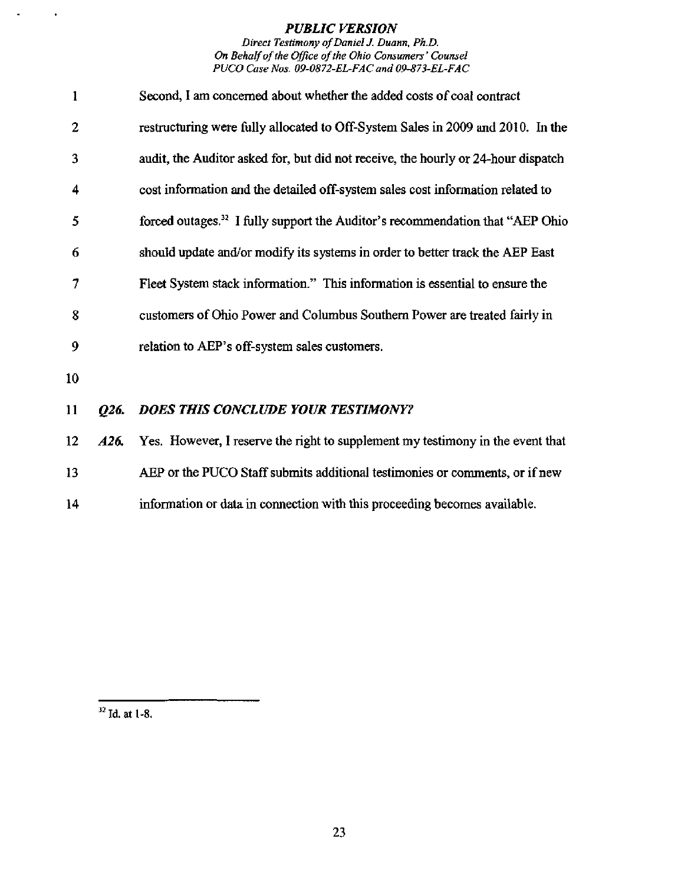Direct Testimony of Daniel J. Duann, Ph.D. On Behalf of the Office of the Ohio Consumers' Counsel PUCO Case Nos. 09-0872-EL-FAC and 09-873-EL-FAC

| $\mathbf{1}$   |      | Second, I am concerned about whether the added costs of coal contract                     |
|----------------|------|-------------------------------------------------------------------------------------------|
| $\overline{2}$ |      | restructuring were fully allocated to Off-System Sales in 2009 and 2010. In the           |
| 3              |      | audit, the Auditor asked for, but did not receive, the hourly or 24-hour dispatch         |
| 4              |      | cost information and the detailed off-system sales cost information related to            |
| 5              |      | forced outages. <sup>32</sup> I fully support the Auditor's recommendation that "AEP Ohio |
| 6              |      | should update and/or modify its systems in order to better track the AEP East             |
| 7              |      | Fleet System stack information." This information is essential to ensure the              |
| 8              |      | customers of Ohio Power and Columbus Southern Power are treated fairly in                 |
| 9              |      | relation to AEP's off-system sales customers.                                             |
| 10             |      |                                                                                           |
| 11             | Q26. | <b>DOES THIS CONCLUDE YOUR TESTIMONY?</b>                                                 |
| 12             | A26. | Yes. However, I reserve the right to supplement my testimony in the event that            |
| 13             |      | AEP or the PUCO Staff submits additional testimonies or comments, or if new               |

14 information or data in connection with this proceeding becomes available.

 $32$  Id. at 1-8.

 $\bullet$ 

 $\blacksquare$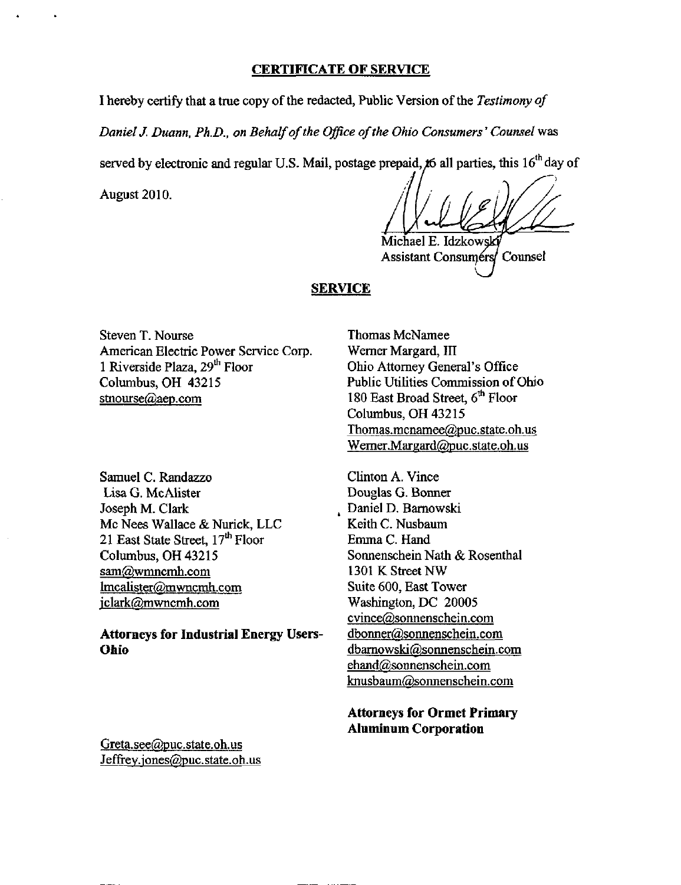### CERTIFICATE OF SERVICE

I hereby certify that a true copy of the redacted, Public Version of the Testimony of

Daniel J. Duann, Ph.D., on Behalf of the Office of the Ohio Consumers' Counsel was

served by electronic and regular U.S. Mail, postage prepaid,  $x_0$  all parties, this 16<sup>th</sup> day of

August 2010.

Michael E. Idzkowski Assistant Consumers/ Counsel

### **SERVICE**

Steven T. Nourse American Electric Power Service Corp. 1 Riverside Plaza, 29<sup>th</sup> Floor Columbus, OH 43215 stnourse@aep.com

Samuel C. Randazzo Lisa G. McAhster Joseph M. Clark Mc Nees Wallace & Nurick, LLC 21 East State Street, 17<sup>th</sup> Floor Columbus, OH 43215 sam@wmncmh.com [lmcalister@mwncmh.com](mailto:lmcalister@mwncmh.com)  jclark@mwncmh.com

# Attorneys for Industrial Energy Users-Ohio

Thomas McNamee Werner Margard, III Ohio Attomey General's Office Public Utilities Commission of Ohio 180 East Broad Street, 6<sup>th</sup> Floor Columbus, OH 43215 [Thomas.mcnamee@puc.state.oh.us](mailto:Thomas.mcnamee@puc.state.oh.us)  [Wemer.Margard@puc.state.oh.us](mailto:Wemer.Margard@puc.state.oh.us) 

Clinton A. Vince Douglas G. Bonner Daniel D. Bamowski Keith C. Nusbaum Emma C. Hand Sonnenschein Nath & Rosenthal 1301 K Street NW Suite 600, East Tower Washington, DC 20005 cvince@sonnenschein.com [dbonner@sonnenschein.com](mailto:dbonner@sonnenschein.com)  [dbamowski@sonnenschein.com](mailto:dbamowski@sonnenschein.com)  [ehand@sonnenschein.com](mailto:ehand@sonnenschein.com)  [knusbaum@sonnenschein.com](mailto:knusbaum@sonnenschein.com) 

Attorneys for Ormet Primary Aluminum Corporation

Greta.see@puc.state.oh.us [Jeffrev.jones@puc.state.oh.us](mailto:Jeffrev.jones@puc.state.oh.us)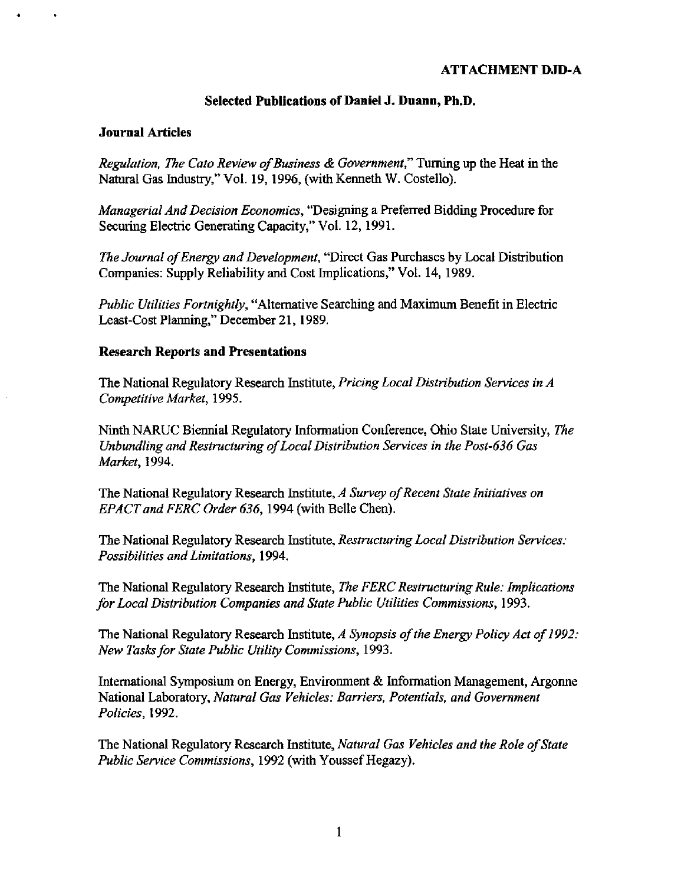# ATTACHMENT DJD-A

## Selected Publications of Daniel J. Duann, Ph.D.

### Journal Articles

Regulation, The Cato Review of Business & Government," Turning up the Heat in the Natural Gas Industry," Vol. 19, 1996, (with Kenneth W. Costello).

Managerial And Decision Economics, "Designing a Preferred Bidding Procedure for Securing Electric Generating Capacity," Vol. 12, 1991.

The Journal of Energy and Development, "Direct Gas Purchases by Local Distribution Companies: Supply Reliability and Cost Implications," Vol. 14,1989.

Public Utilities Fortnightly, "Alternative Searching and Maximum Benefit in Electric Least-Cost Planning," December 21,1989.

### Research Reports and Presentations

The National Regulatory Research Institute, Pricing Local Distribution Services in A Competitive Market, 1995.

Ninth NARUC Biennial Regulatory Information Conference, Ohio State University, The Unbundling and Restructuring of Local Distribution Services in the Post-636 Gas Market, 1994.

The National Regulatory Research Institute, A Survey of Recent State Initiatives on EPACT and FERC Order 636, 1994 (with Belle Chen).

The National Regulatory Research Institute, Restructuring Local Distribution Services: Possibilities and Limitations, 1994.

The National Regulatory Research Institute, The FERC Restructuring Rule: Implications for Local Distribution Companies and State Public Utilities Commissions, 1993.

The National Regulatory Research Institute, A Synopsis of the Energy Policy Act of 1992: New Tasks for State Public Utility Commissions, 1993.

International Symposium on Energy, Environment & Information Management, Argonne National Laboratory, Natural Gas Vehicles: Barriers, Potentials, and Government Policies, 1992.

The National Regulatory Research Institute, Natural Gas Vehicles and the Role of State Public Service Commissions, 1992 (with Youssef Hegazy).